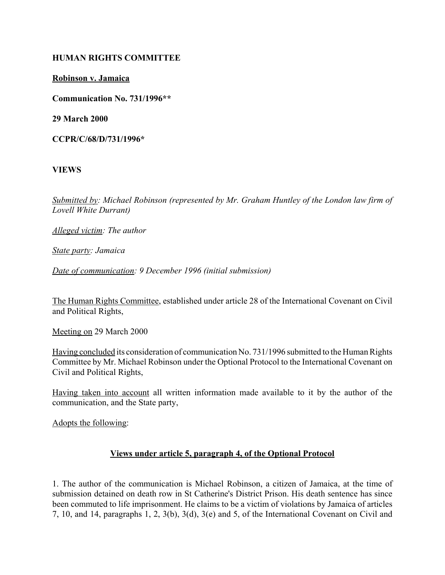#### **HUMAN RIGHTS COMMITTEE**

#### **Robinson v. Jamaica**

**Communication No. 731/1996\*\***

**29 March 2000**

**CCPR/C/68/D/731/1996\***

**VIEWS**

*Submitted by: Michael Robinson (represented by Mr. Graham Huntley of the London law firm of Lovell White Durrant)*

*Alleged victim: The author* 

*State party: Jamaica* 

*Date of communication: 9 December 1996 (initial submission)*

The Human Rights Committee, established under article 28 of the International Covenant on Civil and Political Rights,

Meeting on 29 March 2000

Having concluded its consideration of communication No. 731/1996 submitted to the Human Rights Committee by Mr. Michael Robinson under the Optional Protocol to the International Covenant on Civil and Political Rights,

Having taken into account all written information made available to it by the author of the communication, and the State party,

Adopts the following:

## **Views under article 5, paragraph 4, of the Optional Protocol**

1. The author of the communication is Michael Robinson, a citizen of Jamaica, at the time of submission detained on death row in St Catherine's District Prison. His death sentence has since been commuted to life imprisonment. He claims to be a victim of violations by Jamaica of articles 7, 10, and 14, paragraphs 1, 2, 3(b), 3(d), 3(e) and 5, of the International Covenant on Civil and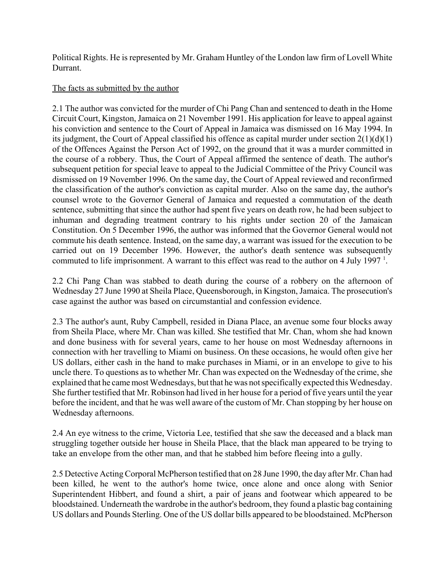Political Rights. He is represented by Mr. Graham Huntley of the London law firm of Lovell White Durrant.

# The facts as submitted by the author

2.1 The author was convicted for the murder of Chi Pang Chan and sentenced to death in the Home Circuit Court, Kingston, Jamaica on 21 November 1991. His application for leave to appeal against his conviction and sentence to the Court of Appeal in Jamaica was dismissed on 16 May 1994. In its judgment, the Court of Appeal classified his offence as capital murder under section  $2(1)(d)(1)$ of the Offences Against the Person Act of 1992, on the ground that it was a murder committed in the course of a robbery. Thus, the Court of Appeal affirmed the sentence of death. The author's subsequent petition for special leave to appeal to the Judicial Committee of the Privy Council was dismissed on 19 November 1996. On the same day, the Court of Appeal reviewed and reconfirmed the classification of the author's conviction as capital murder. Also on the same day, the author's counsel wrote to the Governor General of Jamaica and requested a commutation of the death sentence, submitting that since the author had spent five years on death row, he had been subject to inhuman and degrading treatment contrary to his rights under section 20 of the Jamaican Constitution. On 5 December 1996, the author was informed that the Governor General would not commute his death sentence. Instead, on the same day, a warrant was issued for the execution to be carried out on 19 December 1996. However, the author's death sentence was subsequently commuted to life imprisonment. A warrant to this effect was read to the author on 4 July 1997<sup>1</sup>.

2.2 Chi Pang Chan was stabbed to death during the course of a robbery on the afternoon of Wednesday 27 June 1990 at Sheila Place, Queensborough, in Kingston, Jamaica. The prosecution's case against the author was based on circumstantial and confession evidence.

2.3 The author's aunt, Ruby Campbell, resided in Diana Place, an avenue some four blocks away from Sheila Place, where Mr. Chan was killed. She testified that Mr. Chan, whom she had known and done business with for several years, came to her house on most Wednesday afternoons in connection with her travelling to Miami on business. On these occasions, he would often give her US dollars, either cash in the hand to make purchases in Miami, or in an envelope to give to his uncle there. To questions as to whether Mr. Chan was expected on the Wednesday of the crime, she explained that he came most Wednesdays, but that he was not specifically expected this Wednesday. She further testified that Mr. Robinson had lived in her house for a period of five years until the year before the incident, and that he was well aware of the custom of Mr. Chan stopping by her house on Wednesday afternoons.

2.4 An eye witness to the crime, Victoria Lee, testified that she saw the deceased and a black man struggling together outside her house in Sheila Place, that the black man appeared to be trying to take an envelope from the other man, and that he stabbed him before fleeing into a gully.

2.5 Detective Acting Corporal McPherson testified that on 28 June 1990, the day after Mr. Chan had been killed, he went to the author's home twice, once alone and once along with Senior Superintendent Hibbert, and found a shirt, a pair of jeans and footwear which appeared to be bloodstained. Underneath the wardrobe in the author's bedroom, they found a plastic bag containing US dollars and Pounds Sterling. One of the US dollar bills appeared to be bloodstained. McPherson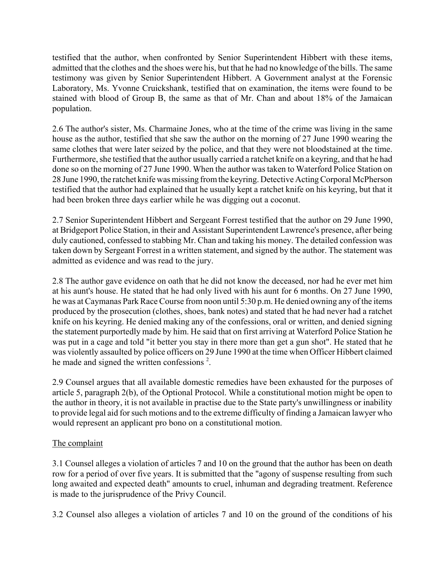testified that the author, when confronted by Senior Superintendent Hibbert with these items, admitted that the clothes and the shoes were his, but that he had no knowledge of the bills. The same testimony was given by Senior Superintendent Hibbert. A Government analyst at the Forensic Laboratory, Ms. Yvonne Cruickshank, testified that on examination, the items were found to be stained with blood of Group B, the same as that of Mr. Chan and about 18% of the Jamaican population.

2.6 The author's sister, Ms. Charmaine Jones, who at the time of the crime was living in the same house as the author, testified that she saw the author on the morning of 27 June 1990 wearing the same clothes that were later seized by the police, and that they were not bloodstained at the time. Furthermore, she testified that the author usually carried a ratchet knife on a keyring, and that he had done so on the morning of 27 June 1990. When the author was taken to Waterford Police Station on 28 June 1990, the ratchet knife was missing from the keyring. Detective Acting Corporal McPherson testified that the author had explained that he usually kept a ratchet knife on his keyring, but that it had been broken three days earlier while he was digging out a coconut.

2.7 Senior Superintendent Hibbert and Sergeant Forrest testified that the author on 29 June 1990, at Bridgeport Police Station, in their and Assistant Superintendent Lawrence's presence, after being duly cautioned, confessed to stabbing Mr. Chan and taking his money. The detailed confession was taken down by Sergeant Forrest in a written statement, and signed by the author. The statement was admitted as evidence and was read to the jury.

2.8 The author gave evidence on oath that he did not know the deceased, nor had he ever met him at his aunt's house. He stated that he had only lived with his aunt for 6 months. On 27 June 1990, he was at Caymanas Park Race Course from noon until 5:30 p.m. He denied owning any of the items produced by the prosecution (clothes, shoes, bank notes) and stated that he had never had a ratchet knife on his keyring. He denied making any of the confessions, oral or written, and denied signing the statement purportedly made by him. He said that on first arriving at Waterford Police Station he was put in a cage and told "it better you stay in there more than get a gun shot". He stated that he was violently assaulted by police officers on 29 June 1990 at the time when Officer Hibbert claimed he made and signed the written confessions<sup>2</sup>.

2.9 Counsel argues that all available domestic remedies have been exhausted for the purposes of article 5, paragraph 2(b), of the Optional Protocol. While a constitutional motion might be open to the author in theory, it is not available in practise due to the State party's unwillingness or inability to provide legal aid for such motions and to the extreme difficulty of finding a Jamaican lawyer who would represent an applicant pro bono on a constitutional motion.

# The complaint

3.1 Counsel alleges a violation of articles 7 and 10 on the ground that the author has been on death row for a period of over five years. It is submitted that the "agony of suspense resulting from such long awaited and expected death" amounts to cruel, inhuman and degrading treatment. Reference is made to the jurisprudence of the Privy Council.

3.2 Counsel also alleges a violation of articles 7 and 10 on the ground of the conditions of his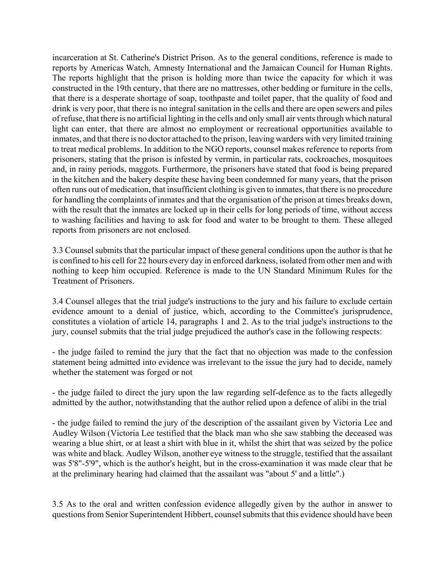incarceration at St. Catherine's District Prison. As to the general conditions, reference is made to reports by Americas Watch, Amnesty International and the Jamaican Council for Human Rights. The reports highlight that the prison is holding more than twice the capacity for which it was constructed in the 19th century, that there are no mattresses, other bedding or furniture in the cells, that there is a desperate shortage of soap, toothpaste and toilet paper, that the quality of food and drink is very poor, that there is no integral sanitation in the cells and there are open sewers and piles of refuse, that there is no artificial lighting in the cells and only small air vents through which natural light can enter, that there are almost no employment or recreational opportunities available to inmates, and that there is no doctor attached to the prison, leaving warders with very limited training to treat medical problems. In addition to the NGO reports, counsel makes reference to reports from prisoners, stating that the prison is infested by vermin, in particular rats, cockroaches, mosquitoes and, in rainy periods, maggots. Furthermore, the prisoners have stated that food is being prepared in the kitchen and the bakery despite these having been condemned for many years, that the prison often runs out of medication, that insufficient clothing is given to inmates, that there is no procedure for handling the complaints of inmates and that the organisation of the prison at times breaks down, with the result that the inmates are locked up in their cells for long periods of time, without access to washing facilities and having to ask for food and water to be brought to them. These alleged reports from prisoners are not enclosed.

3.3 Counsel submits that the particular impact of these general conditions upon the author is that he is confined to his cell for 22 hours every day in enforced darkness, isolated from other men and with nothing to keep him occupied. Reference is made to the UN Standard Minimum Rules for the Treatment of Prisoners.

3.4 Counsel alleges that the trial judge's instructions to the jury and his failure to exclude certain evidence amount to a denial of justice, which, according to the Committee's jurisprudence, constitutes a violation of article 14, paragraphs 1 and 2. As to the trial judge's instructions to the jury, counsel submits that the trial judge prejudiced the author's case in the following respects:

- the judge failed to remind the jury that the fact that no objection was made to the confession statement being admitted into evidence was irrelevant to the issue the jury had to decide, namely whether the statement was forged or not

- the judge failed to direct the jury upon the law regarding self-defence as to the facts allegedly admitted by the author, notwithstanding that the author relied upon a defence of alibi in the trial

- the judge failed to remind the jury of the description of the assailant given by Victoria Lee and Audley Wilson (Victoria Lee testified that the black man who she saw stabbing the deceased was wearing a blue shirt, or at least a shirt with blue in it, whilst the shirt that was seized by the police was white and black. Audley Wilson, another eye witness to the struggle, testified that the assailant was 5'8"-5'9", which is the author's height, but in the cross-examination it was made clear that he at the preliminary hearing had claimed that the assailant was "about 5' and a little".)

3.5 As to the oral and written confession evidence allegedly given by the author in answer to questions from Senior Superintendent Hibbert, counsel submits that this evidence should have been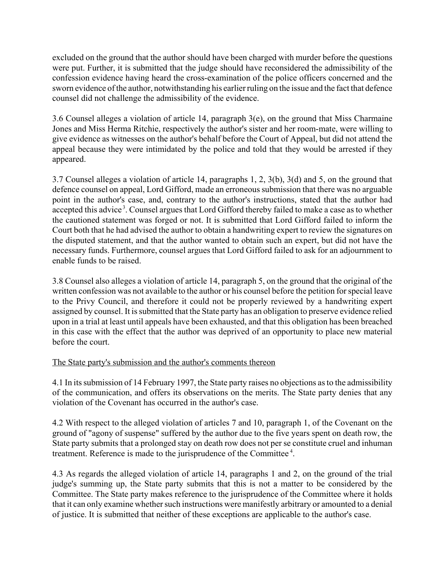excluded on the ground that the author should have been charged with murder before the questions were put. Further, it is submitted that the judge should have reconsidered the admissibility of the confession evidence having heard the cross-examination of the police officers concerned and the sworn evidence of the author, notwithstanding his earlier ruling on the issue and the fact that defence counsel did not challenge the admissibility of the evidence.

3.6 Counsel alleges a violation of article 14, paragraph 3(e), on the ground that Miss Charmaine Jones and Miss Herma Ritchie, respectively the author's sister and her room-mate, were willing to give evidence as witnesses on the author's behalf before the Court of Appeal, but did not attend the appeal because they were intimidated by the police and told that they would be arrested if they appeared.

3.7 Counsel alleges a violation of article 14, paragraphs 1, 2, 3(b), 3(d) and 5, on the ground that defence counsel on appeal, Lord Gifford, made an erroneous submission that there was no arguable point in the author's case, and, contrary to the author's instructions, stated that the author had accepted this advice<sup>3</sup>. Counsel argues that Lord Gifford thereby failed to make a case as to whether the cautioned statement was forged or not. It is submitted that Lord Gifford failed to inform the Court both that he had advised the author to obtain a handwriting expert to review the signatures on the disputed statement, and that the author wanted to obtain such an expert, but did not have the necessary funds. Furthermore, counsel argues that Lord Gifford failed to ask for an adjournment to enable funds to be raised.

3.8 Counsel also alleges a violation of article 14, paragraph 5, on the ground that the original of the written confession was not available to the author or his counsel before the petition for special leave to the Privy Council, and therefore it could not be properly reviewed by a handwriting expert assigned by counsel. It is submitted that the State party has an obligation to preserve evidence relied upon in a trial at least until appeals have been exhausted, and that this obligation has been breached in this case with the effect that the author was deprived of an opportunity to place new material before the court.

## The State party's submission and the author's comments thereon

4.1 In its submission of 14 February 1997, the State party raises no objections as to the admissibility of the communication, and offers its observations on the merits. The State party denies that any violation of the Covenant has occurred in the author's case.

4.2 With respect to the alleged violation of articles 7 and 10, paragraph 1, of the Covenant on the ground of "agony of suspense" suffered by the author due to the five years spent on death row, the State party submits that a prolonged stay on death row does not per se constitute cruel and inhuman treatment. Reference is made to the jurisprudence of the Committee 4.

4.3 As regards the alleged violation of article 14, paragraphs 1 and 2, on the ground of the trial judge's summing up, the State party submits that this is not a matter to be considered by the Committee. The State party makes reference to the jurisprudence of the Committee where it holds that it can only examine whether such instructions were manifestly arbitrary or amounted to a denial of justice. It is submitted that neither of these exceptions are applicable to the author's case.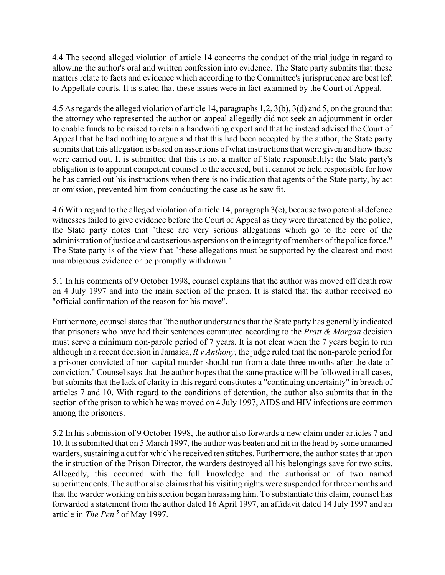4.4 The second alleged violation of article 14 concerns the conduct of the trial judge in regard to allowing the author's oral and written confession into evidence. The State party submits that these matters relate to facts and evidence which according to the Committee's jurisprudence are best left to Appellate courts. It is stated that these issues were in fact examined by the Court of Appeal.

4.5 As regards the alleged violation of article 14, paragraphs 1,2, 3(b), 3(d) and 5, on the ground that the attorney who represented the author on appeal allegedly did not seek an adjournment in order to enable funds to be raised to retain a handwriting expert and that he instead advised the Court of Appeal that he had nothing to argue and that this had been accepted by the author, the State party submits that this allegation is based on assertions of what instructions that were given and how these were carried out. It is submitted that this is not a matter of State responsibility: the State party's obligation is to appoint competent counsel to the accused, but it cannot be held responsible for how he has carried out his instructions when there is no indication that agents of the State party, by act or omission, prevented him from conducting the case as he saw fit.

4.6 With regard to the alleged violation of article 14, paragraph 3(e), because two potential defence witnesses failed to give evidence before the Court of Appeal as they were threatened by the police, the State party notes that "these are very serious allegations which go to the core of the administration of justice and cast serious aspersions on the integrity of members of the police force." The State party is of the view that "these allegations must be supported by the clearest and most unambiguous evidence or be promptly withdrawn."

5.1 In his comments of 9 October 1998, counsel explains that the author was moved off death row on 4 July 1997 and into the main section of the prison. It is stated that the author received no "official confirmation of the reason for his move".

Furthermore, counsel states that "the author understands that the State party has generally indicated that prisoners who have had their sentences commuted according to the *Pratt & Morgan* decision must serve a minimum non-parole period of 7 years. It is not clear when the 7 years begin to run although in a recent decision in Jamaica, *R v Anthony*, the judge ruled that the non-parole period for a prisoner convicted of non-capital murder should run from a date three months after the date of conviction." Counsel says that the author hopes that the same practice will be followed in all cases, but submits that the lack of clarity in this regard constitutes a "continuing uncertainty" in breach of articles 7 and 10. With regard to the conditions of detention, the author also submits that in the section of the prison to which he was moved on 4 July 1997, AIDS and HIV infections are common among the prisoners.

5.2 In his submission of 9 October 1998, the author also forwards a new claim under articles 7 and 10. It is submitted that on 5 March 1997, the author was beaten and hit in the head by some unnamed warders, sustaining a cut for which he received ten stitches. Furthermore, the author states that upon the instruction of the Prison Director, the warders destroyed all his belongings save for two suits. Allegedly, this occurred with the full knowledge and the authorisation of two named superintendents. The author also claims that his visiting rights were suspended for three months and that the warder working on his section began harassing him. To substantiate this claim, counsel has forwarded a statement from the author dated 16 April 1997, an affidavit dated 14 July 1997 and an article in *The Pen*<sup>5</sup> of May 1997.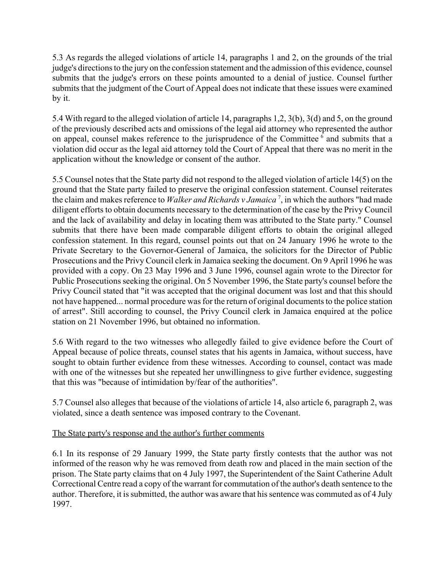5.3 As regards the alleged violations of article 14, paragraphs 1 and 2, on the grounds of the trial judge's directions to the jury on the confession statement and the admission of this evidence, counsel submits that the judge's errors on these points amounted to a denial of justice. Counsel further submits that the judgment of the Court of Appeal does not indicate that these issues were examined by it.

5.4 With regard to the alleged violation of article 14, paragraphs 1,2, 3(b), 3(d) and 5, on the ground of the previously described acts and omissions of the legal aid attorney who represented the author on appeal, counsel makes reference to the jurisprudence of the Committee <sup>6</sup> and submits that a violation did occur as the legal aid attorney told the Court of Appeal that there was no merit in the application without the knowledge or consent of the author.

5.5 Counsel notes that the State party did not respond to the alleged violation of article 14(5) on the ground that the State party failed to preserve the original confession statement. Counsel reiterates the claim and makes reference to *Walker and Richards v Jamaica* <sup>7</sup> , in which the authors "had made diligent efforts to obtain documents necessary to the determination of the case by the Privy Council and the lack of availability and delay in locating them was attributed to the State party." Counsel submits that there have been made comparable diligent efforts to obtain the original alleged confession statement. In this regard, counsel points out that on 24 January 1996 he wrote to the Private Secretary to the Governor-General of Jamaica, the solicitors for the Director of Public Prosecutions and the Privy Council clerk in Jamaica seeking the document. On 9 April 1996 he was provided with a copy. On 23 May 1996 and 3 June 1996, counsel again wrote to the Director for Public Prosecutions seeking the original. On 5 November 1996, the State party's counsel before the Privy Council stated that "it was accepted that the original document was lost and that this should not have happened... normal procedure was for the return of original documents to the police station of arrest". Still according to counsel, the Privy Council clerk in Jamaica enquired at the police station on 21 November 1996, but obtained no information.

5.6 With regard to the two witnesses who allegedly failed to give evidence before the Court of Appeal because of police threats, counsel states that his agents in Jamaica, without success, have sought to obtain further evidence from these witnesses. According to counsel, contact was made with one of the witnesses but she repeated her unwillingness to give further evidence, suggesting that this was "because of intimidation by/fear of the authorities".

5.7 Counsel also alleges that because of the violations of article 14, also article 6, paragraph 2, was violated, since a death sentence was imposed contrary to the Covenant.

## The State party's response and the author's further comments

6.1 In its response of 29 January 1999, the State party firstly contests that the author was not informed of the reason why he was removed from death row and placed in the main section of the prison. The State party claims that on 4 July 1997, the Superintendent of the Saint Catherine Adult Correctional Centre read a copy of the warrant for commutation of the author's death sentence to the author. Therefore, it is submitted, the author was aware that his sentence was commuted as of 4 July 1997.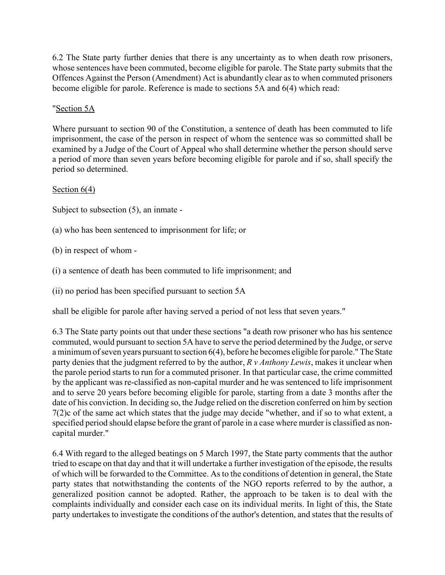6.2 The State party further denies that there is any uncertainty as to when death row prisoners, whose sentences have been commuted, become eligible for parole. The State party submits that the Offences Against the Person (Amendment) Act is abundantly clear as to when commuted prisoners become eligible for parole. Reference is made to sections 5A and 6(4) which read:

# "Section 5A

Where pursuant to section 90 of the Constitution, a sentence of death has been commuted to life imprisonment, the case of the person in respect of whom the sentence was so committed shall be examined by a Judge of the Court of Appeal who shall determine whether the person should serve a period of more than seven years before becoming eligible for parole and if so, shall specify the period so determined.

#### Section  $6(4)$

Subject to subsection (5), an inmate -

- (a) who has been sentenced to imprisonment for life; or
- (b) in respect of whom -
- (i) a sentence of death has been commuted to life imprisonment; and
- (ii) no period has been specified pursuant to section 5A

shall be eligible for parole after having served a period of not less that seven years."

6.3 The State party points out that under these sections "a death row prisoner who has his sentence commuted, would pursuant to section 5A have to serve the period determined by the Judge, or serve a minimum of seven years pursuant to section 6(4), before he becomes eligible for parole." The State party denies that the judgment referred to by the author, *R v Anthony Lewis*, makes it unclear when the parole period starts to run for a commuted prisoner. In that particular case, the crime committed by the applicant was re-classified as non-capital murder and he was sentenced to life imprisonment and to serve 20 years before becoming eligible for parole, starting from a date 3 months after the date of his conviction. In deciding so, the Judge relied on the discretion conferred on him by section 7(2)c of the same act which states that the judge may decide "whether, and if so to what extent, a specified period should elapse before the grant of parole in a case where murder is classified as noncapital murder."

6.4 With regard to the alleged beatings on 5 March 1997, the State party comments that the author tried to escape on that day and that it will undertake a further investigation of the episode, the results of which will be forwarded to the Committee. As to the conditions of detention in general, the State party states that notwithstanding the contents of the NGO reports referred to by the author, a generalized position cannot be adopted. Rather, the approach to be taken is to deal with the complaints individually and consider each case on its individual merits. In light of this, the State party undertakes to investigate the conditions of the author's detention, and states that the results of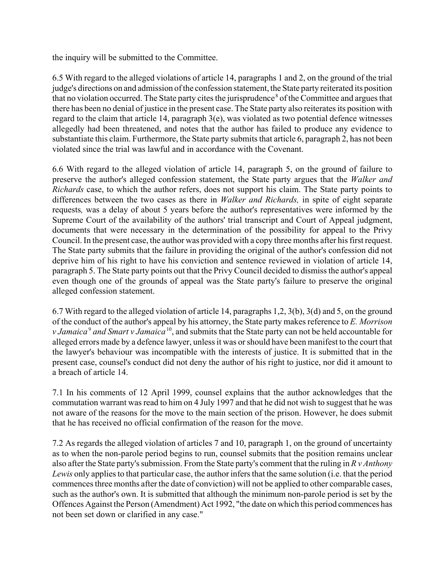the inquiry will be submitted to the Committee.

6.5 With regard to the alleged violations of article 14, paragraphs 1 and 2, on the ground of the trial judge's directions on and admission of the confession statement, the State party reiterated its position that no violation occurred. The State party cites the jurisprudence<sup>8</sup> of the Committee and argues that there has been no denial of justice in the present case. The State party also reiterates its position with regard to the claim that article 14, paragraph 3(e), was violated as two potential defence witnesses allegedly had been threatened, and notes that the author has failed to produce any evidence to substantiate this claim. Furthermore, the State party submits that article 6, paragraph 2, has not been violated since the trial was lawful and in accordance with the Covenant.

6.6 With regard to the alleged violation of article 14, paragraph 5, on the ground of failure to preserve the author's alleged confession statement, the State party argues that the *Walker and Richards* case, to which the author refers, does not support his claim. The State party points to differences between the two cases as there in *Walker and Richards,* in spite of eight separate requests*,* was a delay of about 5 years before the author's representatives were informed by the Supreme Court of the availability of the authors' trial transcript and Court of Appeal judgment, documents that were necessary in the determination of the possibility for appeal to the Privy Council. In the present case, the author was provided with a copy three months after his first request. The State party submits that the failure in providing the original of the author's confession did not deprive him of his right to have his conviction and sentence reviewed in violation of article 14, paragraph 5. The State party points out that the Privy Council decided to dismiss the author's appeal even though one of the grounds of appeal was the State party's failure to preserve the original alleged confession statement.

6.7 With regard to the alleged violation of article 14, paragraphs 1,2, 3(b), 3(d) and 5, on the ground of the conduct of the author's appeal by his attorney, the State party makes reference to *E. Morrison v Jamaica<sup>9</sup> and Smart v Jamaica*<sup>10</sup>, and submits that the State party can not be held accountable for alleged errors made by a defence lawyer, unless it was or should have been manifest to the court that the lawyer's behaviour was incompatible with the interests of justice. It is submitted that in the present case, counsel's conduct did not deny the author of his right to justice, nor did it amount to a breach of article 14.

7.1 In his comments of 12 April 1999, counsel explains that the author acknowledges that the commutation warrant was read to him on 4 July 1997 and that he did not wish to suggest that he was not aware of the reasons for the move to the main section of the prison. However, he does submit that he has received no official confirmation of the reason for the move.

7.2 As regards the alleged violation of articles 7 and 10, paragraph 1, on the ground of uncertainty as to when the non-parole period begins to run, counsel submits that the position remains unclear also after the State party's submission. From the State party's comment that the ruling in *R v Anthony Lewis* only applies to that particular case, the author infers that the same solution (i.e. that the period commences three months after the date of conviction) will not be applied to other comparable cases, such as the author's own. It is submitted that although the minimum non-parole period is set by the Offences Against the Person (Amendment) Act 1992, "the date on which this period commences has not been set down or clarified in any case."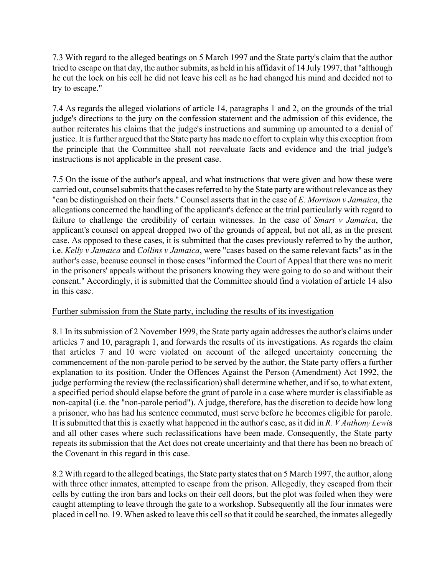7.3 With regard to the alleged beatings on 5 March 1997 and the State party's claim that the author tried to escape on that day, the author submits, as held in his affidavit of 14 July 1997, that "although he cut the lock on his cell he did not leave his cell as he had changed his mind and decided not to try to escape."

7.4 As regards the alleged violations of article 14, paragraphs 1 and 2, on the grounds of the trial judge's directions to the jury on the confession statement and the admission of this evidence, the author reiterates his claims that the judge's instructions and summing up amounted to a denial of justice. It is further argued that the State party has made no effort to explain why this exception from the principle that the Committee shall not reevaluate facts and evidence and the trial judge's instructions is not applicable in the present case.

7.5 On the issue of the author's appeal, and what instructions that were given and how these were carried out, counsel submits that the cases referred to by the State party are without relevance as they "can be distinguished on their facts." Counsel asserts that in the case of *E. Morrison v Jamaica*, the allegations concerned the handling of the applicant's defence at the trial particularly with regard to failure to challenge the credibility of certain witnesses. In the case of *Smart v Jamaica*, the applicant's counsel on appeal dropped two of the grounds of appeal, but not all, as in the present case. As opposed to these cases, it is submitted that the cases previously referred to by the author, i.e. *Kelly v Jamaica* and *Collins v Jamaica*, were "cases based on the same relevant facts" as in the author's case, because counsel in those cases "informed the Court of Appeal that there was no merit in the prisoners' appeals without the prisoners knowing they were going to do so and without their consent." Accordingly, it is submitted that the Committee should find a violation of article 14 also in this case.

## Further submission from the State party, including the results of its investigation

8.1 In its submission of 2 November 1999, the State party again addresses the author's claims under articles 7 and 10, paragraph 1, and forwards the results of its investigations. As regards the claim that articles 7 and 10 were violated on account of the alleged uncertainty concerning the commencement of the non-parole period to be served by the author, the State party offers a further explanation to its position. Under the Offences Against the Person (Amendment) Act 1992, the judge performing the review (the reclassification) shall determine whether, and if so, to what extent, a specified period should elapse before the grant of parole in a case where murder is classifiable as non-capital (i.e. the "non-parole period"). A judge, therefore, has the discretion to decide how long a prisoner, who has had his sentence commuted, must serve before he becomes eligible for parole. It is submitted that this is exactly what happened in the author's case, as it did in *R. V Anthony Lewi*s and all other cases where such reclassifications have been made. Consequently, the State party repeats its submission that the Act does not create uncertainty and that there has been no breach of the Covenant in this regard in this case.

8.2 With regard to the alleged beatings, the State party states that on 5 March 1997, the author, along with three other inmates, attempted to escape from the prison. Allegedly, they escaped from their cells by cutting the iron bars and locks on their cell doors, but the plot was foiled when they were caught attempting to leave through the gate to a workshop. Subsequently all the four inmates were placed in cell no. 19. When asked to leave this cell so that it could be searched, the inmates allegedly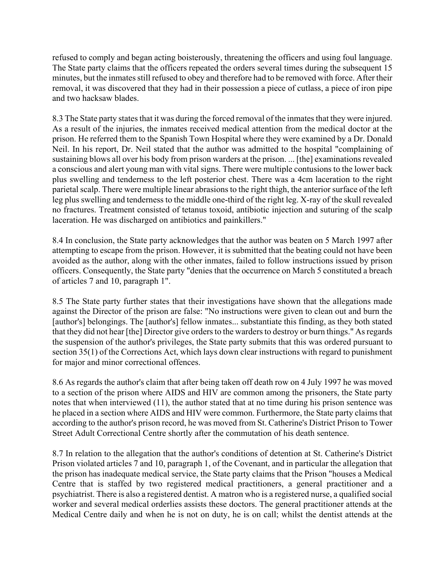refused to comply and began acting boisterously, threatening the officers and using foul language. The State party claims that the officers repeated the orders several times during the subsequent 15 minutes, but the inmates still refused to obey and therefore had to be removed with force. After their removal, it was discovered that they had in their possession a piece of cutlass, a piece of iron pipe and two hacksaw blades.

8.3 The State party states that it was during the forced removal of the inmates that they were injured. As a result of the injuries, the inmates received medical attention from the medical doctor at the prison. He referred them to the Spanish Town Hospital where they were examined by a Dr. Donald Neil. In his report, Dr. Neil stated that the author was admitted to the hospital "complaining of sustaining blows all over his body from prison warders at the prison. ... [the] examinations revealed a conscious and alert young man with vital signs. There were multiple contusions to the lower back plus swelling and tenderness to the left posterior chest. There was a 4cm laceration to the right parietal scalp. There were multiple linear abrasions to the right thigh, the anterior surface of the left leg plus swelling and tenderness to the middle one-third of the right leg. X-ray of the skull revealed no fractures. Treatment consisted of tetanus toxoid, antibiotic injection and suturing of the scalp laceration. He was discharged on antibiotics and painkillers."

8.4 In conclusion, the State party acknowledges that the author was beaten on 5 March 1997 after attempting to escape from the prison. However, it is submitted that the beating could not have been avoided as the author, along with the other inmates, failed to follow instructions issued by prison officers. Consequently, the State party "denies that the occurrence on March 5 constituted a breach of articles 7 and 10, paragraph 1".

8.5 The State party further states that their investigations have shown that the allegations made against the Director of the prison are false: "No instructions were given to clean out and burn the [author's] belongings. The [author's] fellow inmates... substantiate this finding, as they both stated that they did not hear [the] Director give orders to the warders to destroy or burn things." As regards the suspension of the author's privileges, the State party submits that this was ordered pursuant to section 35(1) of the Corrections Act, which lays down clear instructions with regard to punishment for major and minor correctional offences.

8.6 As regards the author's claim that after being taken off death row on 4 July 1997 he was moved to a section of the prison where AIDS and HIV are common among the prisoners, the State party notes that when interviewed (11), the author stated that at no time during his prison sentence was he placed in a section where AIDS and HIV were common. Furthermore, the State party claims that according to the author's prison record, he was moved from St. Catherine's District Prison to Tower Street Adult Correctional Centre shortly after the commutation of his death sentence.

8.7 In relation to the allegation that the author's conditions of detention at St. Catherine's District Prison violated articles 7 and 10, paragraph 1, of the Covenant, and in particular the allegation that the prison has inadequate medical service, the State party claims that the Prison "houses a Medical Centre that is staffed by two registered medical practitioners, a general practitioner and a psychiatrist. There is also a registered dentist. A matron who is a registered nurse, a qualified social worker and several medical orderlies assists these doctors. The general practitioner attends at the Medical Centre daily and when he is not on duty, he is on call; whilst the dentist attends at the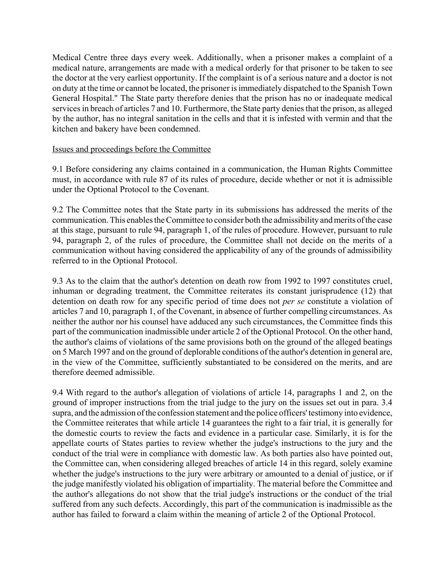Medical Centre three days every week. Additionally, when a prisoner makes a complaint of a medical nature, arrangements are made with a medical orderly for that prisoner to be taken to see the doctor at the very earliest opportunity. If the complaint is of a serious nature and a doctor is not on duty at the time or cannot be located, the prisoner is immediately dispatched to the Spanish Town General Hospital." The State party therefore denies that the prison has no or inadequate medical services in breach of articles 7 and 10. Furthermore, the State party denies that the prison, as alleged by the author, has no integral sanitation in the cells and that it is infested with vermin and that the kitchen and bakery have been condemned.

#### Issues and proceedings before the Committee

9.1 Before considering any claims contained in a communication, the Human Rights Committee must, in accordance with rule 87 of its rules of procedure, decide whether or not it is admissible under the Optional Protocol to the Covenant.

9.2 The Committee notes that the State party in its submissions has addressed the merits of the communication. This enables the Committee to consider both the admissibility and merits of the case at this stage, pursuant to rule 94, paragraph 1, of the rules of procedure. However, pursuant to rule 94, paragraph 2, of the rules of procedure, the Committee shall not decide on the merits of a communication without having considered the applicability of any of the grounds of admissibility referred to in the Optional Protocol.

9.3 As to the claim that the author's detention on death row from 1992 to 1997 constitutes cruel, inhuman or degrading treatment, the Committee reiterates its constant jurisprudence (12) that detention on death row for any specific period of time does not *per se* constitute a violation of articles 7 and 10, paragraph 1, of the Covenant, in absence of further compelling circumstances. As neither the author nor his counsel have adduced any such circumstances, the Committee finds this part of the communication inadmissible under article 2 of the Optional Protocol. On the other hand, the author's claims of violations of the same provisions both on the ground of the alleged beatings on 5 March 1997 and on the ground of deplorable conditions of the author's detention in general are, in the view of the Committee, sufficiently substantiated to be considered on the merits, and are therefore deemed admissible.

9.4 With regard to the author's allegation of violations of article 14, paragraphs 1 and 2, on the ground of improper instructions from the trial judge to the jury on the issues set out in para. 3.4 supra, and the admission of the confession statement and the police officers' testimony into evidence, the Committee reiterates that while article 14 guarantees the right to a fair trial, it is generally for the domestic courts to review the facts and evidence in a particular case. Similarly, it is for the appellate courts of States parties to review whether the judge's instructions to the jury and the conduct of the trial were in compliance with domestic law. As both parties also have pointed out, the Committee can, when considering alleged breaches of article 14 in this regard, solely examine whether the judge's instructions to the jury were arbitrary or amounted to a denial of justice, or if the judge manifestly violated his obligation of impartiality. The material before the Committee and the author's allegations do not show that the trial judge's instructions or the conduct of the trial suffered from any such defects. Accordingly, this part of the communication is inadmissible as the author has failed to forward a claim within the meaning of article 2 of the Optional Protocol.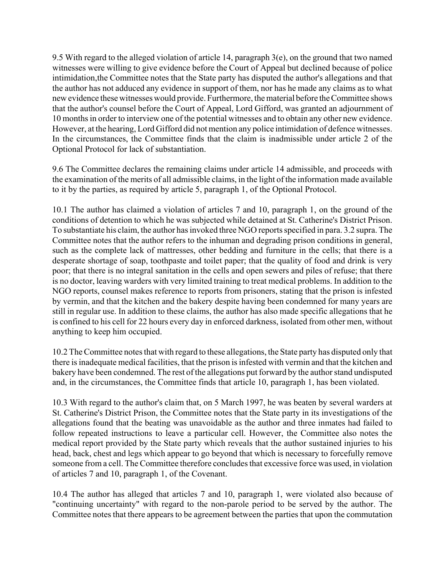9.5 With regard to the alleged violation of article 14, paragraph 3(e), on the ground that two named witnesses were willing to give evidence before the Court of Appeal but declined because of police intimidation,the Committee notes that the State party has disputed the author's allegations and that the author has not adduced any evidence in support of them, nor has he made any claims as to what new evidence these witnesses would provide. Furthermore, the material before the Committee shows that the author's counsel before the Court of Appeal, Lord Gifford, was granted an adjournment of 10 months in order to interview one of the potential witnesses and to obtain any other new evidence. However, at the hearing, Lord Gifford did not mention any police intimidation of defence witnesses. In the circumstances, the Committee finds that the claim is inadmissible under article 2 of the Optional Protocol for lack of substantiation.

9.6 The Committee declares the remaining claims under article 14 admissible, and proceeds with the examination of the merits of all admissible claims, in the light of the information made available to it by the parties, as required by article 5, paragraph 1, of the Optional Protocol.

10.1 The author has claimed a violation of articles 7 and 10, paragraph 1, on the ground of the conditions of detention to which he was subjected while detained at St. Catherine's District Prison. To substantiate his claim, the author has invoked three NGO reports specified in para. 3.2 supra. The Committee notes that the author refers to the inhuman and degrading prison conditions in general, such as the complete lack of mattresses, other bedding and furniture in the cells; that there is a desperate shortage of soap, toothpaste and toilet paper; that the quality of food and drink is very poor; that there is no integral sanitation in the cells and open sewers and piles of refuse; that there is no doctor, leaving warders with very limited training to treat medical problems. In addition to the NGO reports, counsel makes reference to reports from prisoners, stating that the prison is infested by vermin, and that the kitchen and the bakery despite having been condemned for many years are still in regular use. In addition to these claims, the author has also made specific allegations that he is confined to his cell for 22 hours every day in enforced darkness, isolated from other men, without anything to keep him occupied.

10.2 The Committee notes that with regard to these allegations, the State party has disputed only that there is inadequate medical facilities, that the prison is infested with vermin and that the kitchen and bakery have been condemned. The rest of the allegations put forward by the author stand undisputed and, in the circumstances, the Committee finds that article 10, paragraph 1, has been violated.

10.3 With regard to the author's claim that, on 5 March 1997, he was beaten by several warders at St. Catherine's District Prison, the Committee notes that the State party in its investigations of the allegations found that the beating was unavoidable as the author and three inmates had failed to follow repeated instructions to leave a particular cell. However, the Committee also notes the medical report provided by the State party which reveals that the author sustained injuries to his head, back, chest and legs which appear to go beyond that which is necessary to forcefully remove someone from a cell. The Committee therefore concludes that excessive force was used, in violation of articles 7 and 10, paragraph 1, of the Covenant.

10.4 The author has alleged that articles 7 and 10, paragraph 1, were violated also because of "continuing uncertainty" with regard to the non-parole period to be served by the author. The Committee notes that there appears to be agreement between the parties that upon the commutation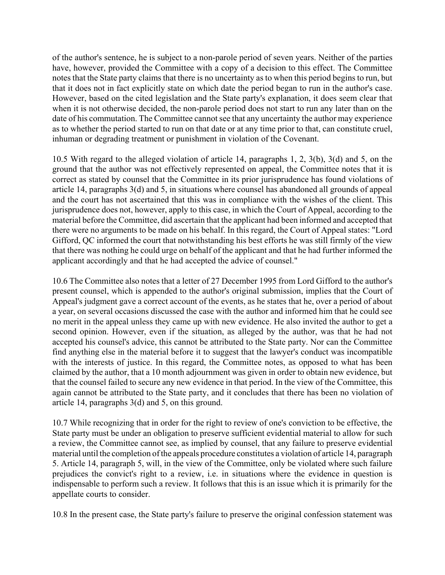of the author's sentence, he is subject to a non-parole period of seven years. Neither of the parties have, however, provided the Committee with a copy of a decision to this effect. The Committee notes that the State party claims that there is no uncertainty as to when this period begins to run, but that it does not in fact explicitly state on which date the period began to run in the author's case. However, based on the cited legislation and the State party's explanation, it does seem clear that when it is not otherwise decided, the non-parole period does not start to run any later than on the date of his commutation. The Committee cannot see that any uncertainty the author may experience as to whether the period started to run on that date or at any time prior to that, can constitute cruel, inhuman or degrading treatment or punishment in violation of the Covenant.

10.5 With regard to the alleged violation of article 14, paragraphs 1, 2, 3(b), 3(d) and 5, on the ground that the author was not effectively represented on appeal, the Committee notes that it is correct as stated by counsel that the Committee in its prior jurisprudence has found violations of article 14, paragraphs 3(d) and 5, in situations where counsel has abandoned all grounds of appeal and the court has not ascertained that this was in compliance with the wishes of the client. This jurisprudence does not, however, apply to this case, in which the Court of Appeal, according to the material before the Committee, did ascertain that the applicant had been informed and accepted that there were no arguments to be made on his behalf. In this regard, the Court of Appeal states: "Lord Gifford, QC informed the court that notwithstanding his best efforts he was still firmly of the view that there was nothing he could urge on behalf of the applicant and that he had further informed the applicant accordingly and that he had accepted the advice of counsel."

10.6 The Committee also notes that a letter of 27 December 1995 from Lord Gifford to the author's present counsel, which is appended to the author's original submission, implies that the Court of Appeal's judgment gave a correct account of the events, as he states that he, over a period of about a year, on several occasions discussed the case with the author and informed him that he could see no merit in the appeal unless they came up with new evidence. He also invited the author to get a second opinion. However, even if the situation, as alleged by the author, was that he had not accepted his counsel's advice, this cannot be attributed to the State party. Nor can the Committee find anything else in the material before it to suggest that the lawyer's conduct was incompatible with the interests of justice. In this regard, the Committee notes, as opposed to what has been claimed by the author, that a 10 month adjournment was given in order to obtain new evidence, but that the counsel failed to secure any new evidence in that period. In the view of the Committee, this again cannot be attributed to the State party, and it concludes that there has been no violation of article 14, paragraphs 3(d) and 5, on this ground.

10.7 While recognizing that in order for the right to review of one's conviction to be effective, the State party must be under an obligation to preserve sufficient evidential material to allow for such a review, the Committee cannot see, as implied by counsel, that any failure to preserve evidential material until the completion of the appeals procedure constitutes a violation of article 14, paragraph 5. Article 14, paragraph 5, will, in the view of the Committee, only be violated where such failure prejudices the convict's right to a review, i.e. in situations where the evidence in question is indispensable to perform such a review. It follows that this is an issue which it is primarily for the appellate courts to consider.

10.8 In the present case, the State party's failure to preserve the original confession statement was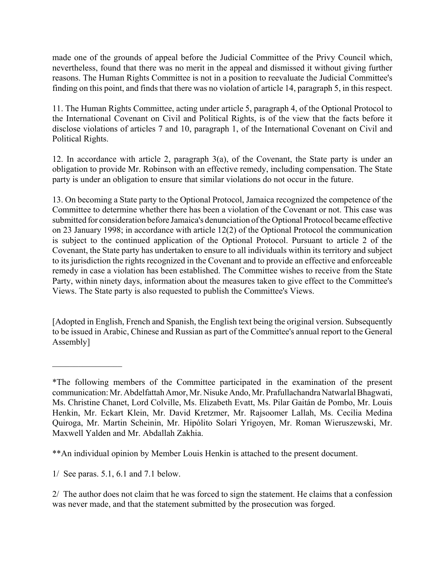made one of the grounds of appeal before the Judicial Committee of the Privy Council which, nevertheless, found that there was no merit in the appeal and dismissed it without giving further reasons. The Human Rights Committee is not in a position to reevaluate the Judicial Committee's finding on this point, and finds that there was no violation of article 14, paragraph 5, in this respect.

11. The Human Rights Committee, acting under article 5, paragraph 4, of the Optional Protocol to the International Covenant on Civil and Political Rights, is of the view that the facts before it disclose violations of articles 7 and 10, paragraph 1, of the International Covenant on Civil and Political Rights.

12. In accordance with article 2, paragraph 3(a), of the Covenant, the State party is under an obligation to provide Mr. Robinson with an effective remedy, including compensation. The State party is under an obligation to ensure that similar violations do not occur in the future.

13. On becoming a State party to the Optional Protocol, Jamaica recognized the competence of the Committee to determine whether there has been a violation of the Covenant or not. This case was submitted for consideration before Jamaica's denunciation of the Optional Protocol became effective on 23 January 1998; in accordance with article 12(2) of the Optional Protocol the communication is subject to the continued application of the Optional Protocol. Pursuant to article 2 of the Covenant, the State party has undertaken to ensure to all individuals within its territory and subject to its jurisdiction the rights recognized in the Covenant and to provide an effective and enforceable remedy in case a violation has been established. The Committee wishes to receive from the State Party, within ninety days, information about the measures taken to give effect to the Committee's Views. The State party is also requested to publish the Committee's Views.

[Adopted in English, French and Spanish, the English text being the original version. Subsequently to be issued in Arabic, Chinese and Russian as part of the Committee's annual report to the General Assembly]

 $\mathcal{L}_\text{max}$  , where  $\mathcal{L}_\text{max}$ 

<sup>\*</sup>The following members of the Committee participated in the examination of the present communication: Mr. Abdelfattah Amor, Mr. Nisuke Ando, Mr. Prafullachandra Natwarlal Bhagwati, Ms. Christine Chanet, Lord Colville, Ms. Elizabeth Evatt, Ms. Pilar Gaitán de Pombo, Mr. Louis Henkin, Mr. Eckart Klein, Mr. David Kretzmer, Mr. Rajsoomer Lallah, Ms. Cecilia Medina Quiroga, Mr. Martin Scheinin, Mr. Hipólito Solari Yrigoyen, Mr. Roman Wieruszewski, Mr. Maxwell Yalden and Mr. Abdallah Zakhia.

<sup>\*\*</sup>An individual opinion by Member Louis Henkin is attached to the present document.

<sup>1/</sup> See paras. 5.1, 6.1 and 7.1 below.

<sup>2/</sup> The author does not claim that he was forced to sign the statement. He claims that a confession was never made, and that the statement submitted by the prosecution was forged.